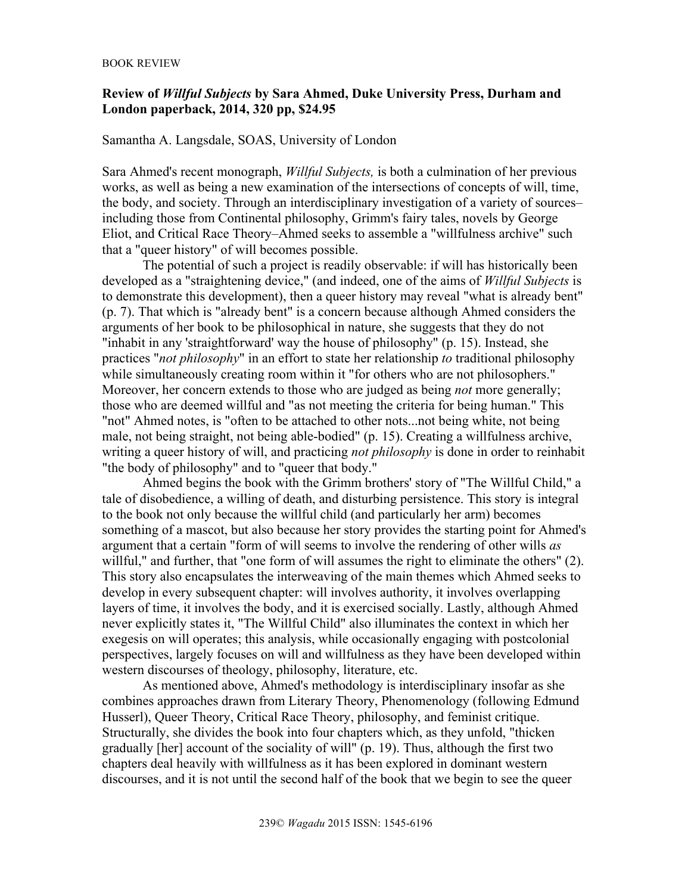## **Review of** *Willful Subjects* **by Sara Ahmed, Duke University Press, Durham and London paperback, 2014, 320 pp, \$24.95**

## Samantha A. Langsdale, SOAS, University of London

Sara Ahmed's recent monograph, *Willful Subjects,* is both a culmination of her previous works, as well as being a new examination of the intersections of concepts of will, time, the body, and society. Through an interdisciplinary investigation of a variety of sources– including those from Continental philosophy, Grimm's fairy tales, novels by George Eliot, and Critical Race Theory–Ahmed seeks to assemble a "willfulness archive" such that a "queer history" of will becomes possible.

The potential of such a project is readily observable: if will has historically been developed as a "straightening device," (and indeed, one of the aims of *Willful Subjects* is to demonstrate this development), then a queer history may reveal "what is already bent" (p. 7). That which is "already bent" is a concern because although Ahmed considers the arguments of her book to be philosophical in nature, she suggests that they do not "inhabit in any 'straightforward' way the house of philosophy" (p. 15). Instead, she practices "*not philosophy*" in an effort to state her relationship *to* traditional philosophy while simultaneously creating room within it "for others who are not philosophers." Moreover, her concern extends to those who are judged as being *not* more generally; those who are deemed willful and "as not meeting the criteria for being human." This "not" Ahmed notes, is "often to be attached to other nots...not being white, not being male, not being straight, not being able-bodied" (p. 15). Creating a willfulness archive, writing a queer history of will, and practicing *not philosophy* is done in order to reinhabit "the body of philosophy" and to "queer that body."

Ahmed begins the book with the Grimm brothers' story of "The Willful Child," a tale of disobedience, a willing of death, and disturbing persistence. This story is integral to the book not only because the willful child (and particularly her arm) becomes something of a mascot, but also because her story provides the starting point for Ahmed's argument that a certain "form of will seems to involve the rendering of other wills *as*  willful," and further, that "one form of will assumes the right to eliminate the others" (2). This story also encapsulates the interweaving of the main themes which Ahmed seeks to develop in every subsequent chapter: will involves authority, it involves overlapping layers of time, it involves the body, and it is exercised socially. Lastly, although Ahmed never explicitly states it, "The Willful Child" also illuminates the context in which her exegesis on will operates; this analysis, while occasionally engaging with postcolonial perspectives, largely focuses on will and willfulness as they have been developed within western discourses of theology, philosophy, literature, etc.

As mentioned above, Ahmed's methodology is interdisciplinary insofar as she combines approaches drawn from Literary Theory, Phenomenology (following Edmund Husserl), Queer Theory, Critical Race Theory, philosophy, and feminist critique. Structurally, she divides the book into four chapters which, as they unfold, "thicken gradually [her] account of the sociality of will" (p. 19). Thus, although the first two chapters deal heavily with willfulness as it has been explored in dominant western discourses, and it is not until the second half of the book that we begin to see the queer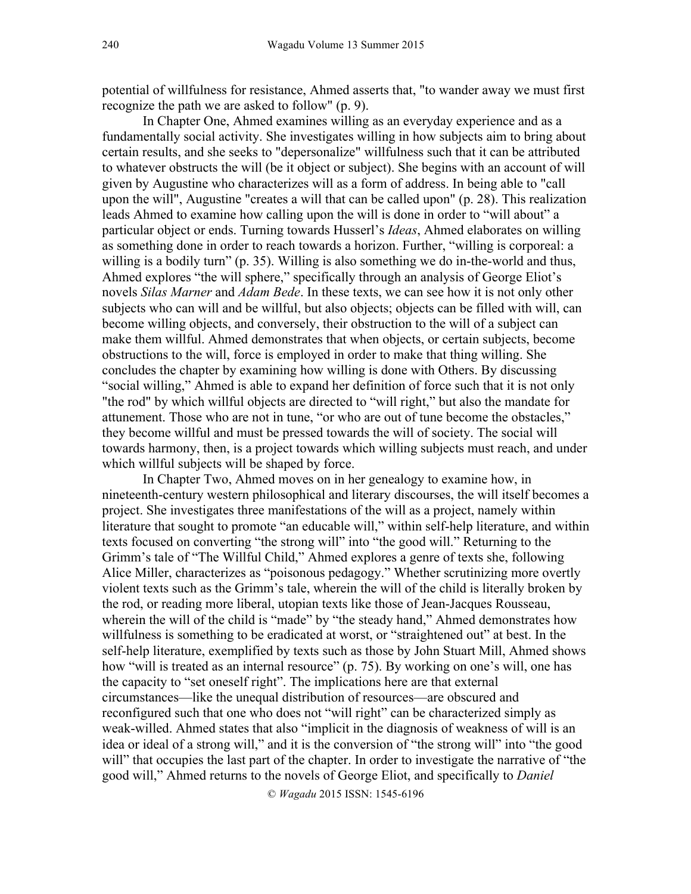potential of willfulness for resistance, Ahmed asserts that, "to wander away we must first recognize the path we are asked to follow" (p. 9).

In Chapter One, Ahmed examines willing as an everyday experience and as a fundamentally social activity. She investigates willing in how subjects aim to bring about certain results, and she seeks to "depersonalize" willfulness such that it can be attributed to whatever obstructs the will (be it object or subject). She begins with an account of will given by Augustine who characterizes will as a form of address. In being able to "call upon the will", Augustine "creates a will that can be called upon" (p. 28). This realization leads Ahmed to examine how calling upon the will is done in order to "will about" a particular object or ends. Turning towards Husserl's *Ideas*, Ahmed elaborates on willing as something done in order to reach towards a horizon. Further, "willing is corporeal: a willing is a bodily turn" (p. 35). Willing is also something we do in-the-world and thus, Ahmed explores "the will sphere," specifically through an analysis of George Eliot's novels *Silas Marner* and *Adam Bede*. In these texts, we can see how it is not only other subjects who can will and be willful, but also objects; objects can be filled with will, can become willing objects, and conversely, their obstruction to the will of a subject can make them willful. Ahmed demonstrates that when objects, or certain subjects, become obstructions to the will, force is employed in order to make that thing willing. She concludes the chapter by examining how willing is done with Others. By discussing "social willing," Ahmed is able to expand her definition of force such that it is not only "the rod" by which willful objects are directed to "will right," but also the mandate for attunement. Those who are not in tune, "or who are out of tune become the obstacles," they become willful and must be pressed towards the will of society. The social will towards harmony, then, is a project towards which willing subjects must reach, and under which willful subjects will be shaped by force.

In Chapter Two, Ahmed moves on in her genealogy to examine how, in nineteenth-century western philosophical and literary discourses, the will itself becomes a project. She investigates three manifestations of the will as a project, namely within literature that sought to promote "an educable will," within self-help literature, and within texts focused on converting "the strong will" into "the good will." Returning to the Grimm's tale of "The Willful Child," Ahmed explores a genre of texts she, following Alice Miller, characterizes as "poisonous pedagogy." Whether scrutinizing more overtly violent texts such as the Grimm's tale, wherein the will of the child is literally broken by the rod, or reading more liberal, utopian texts like those of Jean-Jacques Rousseau, wherein the will of the child is "made" by "the steady hand," Ahmed demonstrates how willfulness is something to be eradicated at worst, or "straightened out" at best. In the self-help literature, exemplified by texts such as those by John Stuart Mill, Ahmed shows how "will is treated as an internal resource" (p. 75). By working on one's will, one has the capacity to "set oneself right". The implications here are that external circumstances—like the unequal distribution of resources—are obscured and reconfigured such that one who does not "will right" can be characterized simply as weak-willed. Ahmed states that also "implicit in the diagnosis of weakness of will is an idea or ideal of a strong will," and it is the conversion of "the strong will" into "the good will" that occupies the last part of the chapter. In order to investigate the narrative of "the good will," Ahmed returns to the novels of George Eliot, and specifically to *Daniel*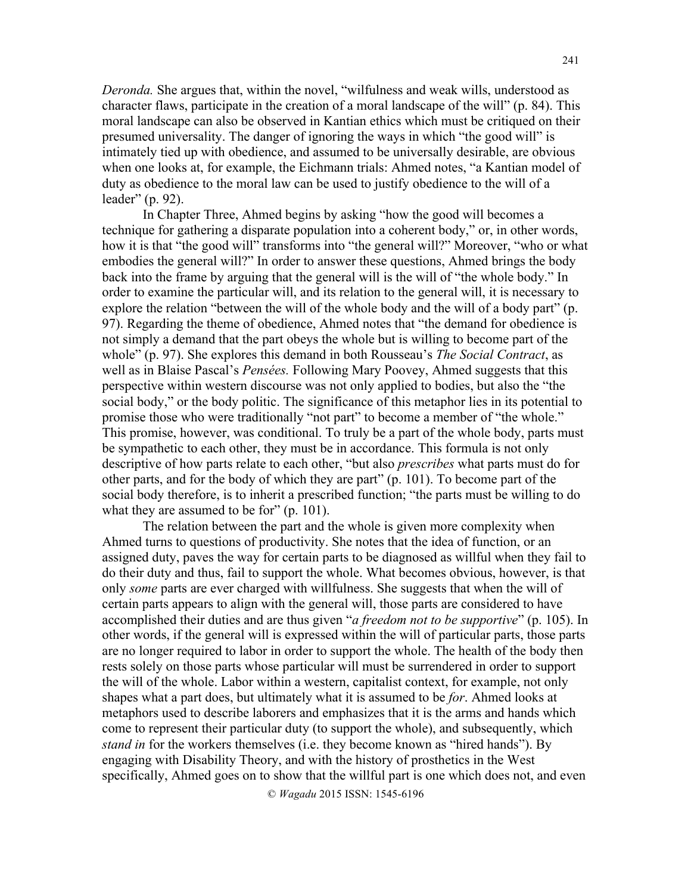*Deronda.* She argues that, within the novel, "wilfulness and weak wills, understood as character flaws, participate in the creation of a moral landscape of the will" (p. 84). This moral landscape can also be observed in Kantian ethics which must be critiqued on their presumed universality. The danger of ignoring the ways in which "the good will" is intimately tied up with obedience, and assumed to be universally desirable, are obvious when one looks at, for example, the Eichmann trials: Ahmed notes, "a Kantian model of duty as obedience to the moral law can be used to justify obedience to the will of a leader" (p. 92).

In Chapter Three, Ahmed begins by asking "how the good will becomes a technique for gathering a disparate population into a coherent body," or, in other words, how it is that "the good will" transforms into "the general will?" Moreover, "who or what embodies the general will?" In order to answer these questions, Ahmed brings the body back into the frame by arguing that the general will is the will of "the whole body." In order to examine the particular will, and its relation to the general will, it is necessary to explore the relation "between the will of the whole body and the will of a body part" (p. 97). Regarding the theme of obedience, Ahmed notes that "the demand for obedience is not simply a demand that the part obeys the whole but is willing to become part of the whole" (p. 97). She explores this demand in both Rousseau's *The Social Contract*, as well as in Blaise Pascal's *Pensées.* Following Mary Poovey, Ahmed suggests that this perspective within western discourse was not only applied to bodies, but also the "the social body," or the body politic. The significance of this metaphor lies in its potential to promise those who were traditionally "not part" to become a member of "the whole." This promise, however, was conditional. To truly be a part of the whole body, parts must be sympathetic to each other, they must be in accordance. This formula is not only descriptive of how parts relate to each other, "but also *prescribes* what parts must do for other parts, and for the body of which they are part" (p. 101). To become part of the social body therefore, is to inherit a prescribed function; "the parts must be willing to do what they are assumed to be for" (p. 101).

The relation between the part and the whole is given more complexity when Ahmed turns to questions of productivity. She notes that the idea of function, or an assigned duty, paves the way for certain parts to be diagnosed as willful when they fail to do their duty and thus, fail to support the whole. What becomes obvious, however, is that only *some* parts are ever charged with willfulness. She suggests that when the will of certain parts appears to align with the general will, those parts are considered to have accomplished their duties and are thus given "*a freedom not to be supportive*" (p. 105). In other words, if the general will is expressed within the will of particular parts, those parts are no longer required to labor in order to support the whole. The health of the body then rests solely on those parts whose particular will must be surrendered in order to support the will of the whole. Labor within a western, capitalist context, for example, not only shapes what a part does, but ultimately what it is assumed to be *for*. Ahmed looks at metaphors used to describe laborers and emphasizes that it is the arms and hands which come to represent their particular duty (to support the whole), and subsequently, which *stand in* for the workers themselves (i.e. they become known as "hired hands"). By engaging with Disability Theory, and with the history of prosthetics in the West specifically, Ahmed goes on to show that the willful part is one which does not, and even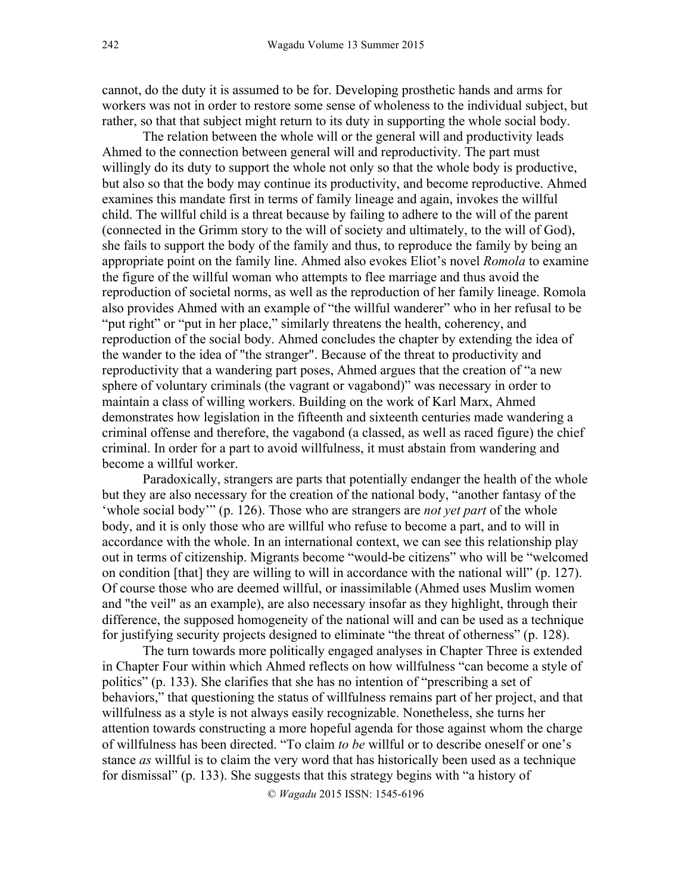cannot, do the duty it is assumed to be for. Developing prosthetic hands and arms for workers was not in order to restore some sense of wholeness to the individual subject, but rather, so that that subject might return to its duty in supporting the whole social body.

The relation between the whole will or the general will and productivity leads Ahmed to the connection between general will and reproductivity. The part must willingly do its duty to support the whole not only so that the whole body is productive, but also so that the body may continue its productivity, and become reproductive. Ahmed examines this mandate first in terms of family lineage and again, invokes the willful child. The willful child is a threat because by failing to adhere to the will of the parent (connected in the Grimm story to the will of society and ultimately, to the will of God), she fails to support the body of the family and thus, to reproduce the family by being an appropriate point on the family line. Ahmed also evokes Eliot's novel *Romola* to examine the figure of the willful woman who attempts to flee marriage and thus avoid the reproduction of societal norms, as well as the reproduction of her family lineage. Romola also provides Ahmed with an example of "the willful wanderer" who in her refusal to be "put right" or "put in her place," similarly threatens the health, coherency, and reproduction of the social body. Ahmed concludes the chapter by extending the idea of the wander to the idea of "the stranger". Because of the threat to productivity and reproductivity that a wandering part poses, Ahmed argues that the creation of "a new sphere of voluntary criminals (the vagrant or vagabond)" was necessary in order to maintain a class of willing workers. Building on the work of Karl Marx, Ahmed demonstrates how legislation in the fifteenth and sixteenth centuries made wandering a criminal offense and therefore, the vagabond (a classed, as well as raced figure) the chief criminal. In order for a part to avoid willfulness, it must abstain from wandering and become a willful worker.

Paradoxically, strangers are parts that potentially endanger the health of the whole but they are also necessary for the creation of the national body, "another fantasy of the 'whole social body'" (p. 126). Those who are strangers are *not yet part* of the whole body, and it is only those who are willful who refuse to become a part, and to will in accordance with the whole. In an international context, we can see this relationship play out in terms of citizenship. Migrants become "would-be citizens" who will be "welcomed on condition [that] they are willing to will in accordance with the national will" (p. 127). Of course those who are deemed willful, or inassimilable (Ahmed uses Muslim women and "the veil" as an example), are also necessary insofar as they highlight, through their difference, the supposed homogeneity of the national will and can be used as a technique for justifying security projects designed to eliminate "the threat of otherness" (p. 128).

The turn towards more politically engaged analyses in Chapter Three is extended in Chapter Four within which Ahmed reflects on how willfulness "can become a style of politics" (p. 133). She clarifies that she has no intention of "prescribing a set of behaviors," that questioning the status of willfulness remains part of her project, and that willfulness as a style is not always easily recognizable. Nonetheless, she turns her attention towards constructing a more hopeful agenda for those against whom the charge of willfulness has been directed. "To claim *to be* willful or to describe oneself or one's stance *as* willful is to claim the very word that has historically been used as a technique for dismissal" (p. 133). She suggests that this strategy begins with "a history of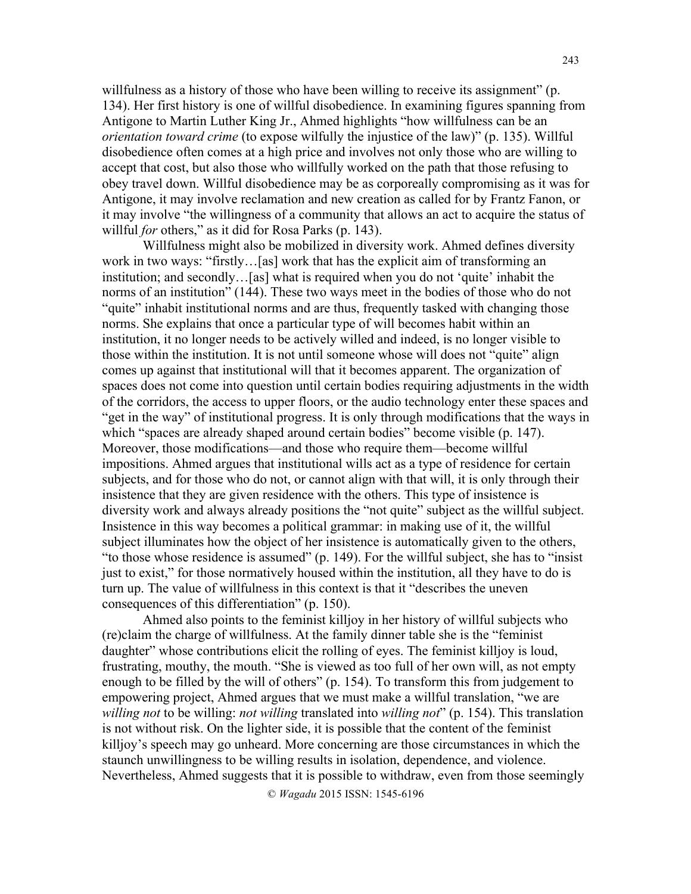willfulness as a history of those who have been willing to receive its assignment" (p. 134). Her first history is one of willful disobedience. In examining figures spanning from Antigone to Martin Luther King Jr., Ahmed highlights "how willfulness can be an *orientation toward crime* (to expose wilfully the injustice of the law)" (p. 135). Willful disobedience often comes at a high price and involves not only those who are willing to accept that cost, but also those who willfully worked on the path that those refusing to obey travel down. Willful disobedience may be as corporeally compromising as it was for Antigone, it may involve reclamation and new creation as called for by Frantz Fanon, or it may involve "the willingness of a community that allows an act to acquire the status of willful *for* others," as it did for Rosa Parks (p. 143).

Willfulness might also be mobilized in diversity work. Ahmed defines diversity work in two ways: "firstly…[as] work that has the explicit aim of transforming an institution; and secondly…[as] what is required when you do not 'quite' inhabit the norms of an institution" (144). These two ways meet in the bodies of those who do not "quite" inhabit institutional norms and are thus, frequently tasked with changing those norms. She explains that once a particular type of will becomes habit within an institution, it no longer needs to be actively willed and indeed, is no longer visible to those within the institution. It is not until someone whose will does not "quite" align comes up against that institutional will that it becomes apparent. The organization of spaces does not come into question until certain bodies requiring adjustments in the width of the corridors, the access to upper floors, or the audio technology enter these spaces and "get in the way" of institutional progress. It is only through modifications that the ways in which "spaces are already shaped around certain bodies" become visible (p. 147). Moreover, those modifications—and those who require them—become willful impositions. Ahmed argues that institutional wills act as a type of residence for certain subjects, and for those who do not, or cannot align with that will, it is only through their insistence that they are given residence with the others. This type of insistence is diversity work and always already positions the "not quite" subject as the willful subject. Insistence in this way becomes a political grammar: in making use of it, the willful subject illuminates how the object of her insistence is automatically given to the others, "to those whose residence is assumed" (p. 149). For the willful subject, she has to "insist just to exist," for those normatively housed within the institution, all they have to do is turn up. The value of willfulness in this context is that it "describes the uneven consequences of this differentiation" (p. 150).

Ahmed also points to the feminist killjoy in her history of willful subjects who (re)claim the charge of willfulness. At the family dinner table she is the "feminist daughter" whose contributions elicit the rolling of eyes. The feminist killjoy is loud, frustrating, mouthy, the mouth. "She is viewed as too full of her own will, as not empty enough to be filled by the will of others" (p. 154). To transform this from judgement to empowering project, Ahmed argues that we must make a willful translation, "we are *willing not* to be willing: *not willing* translated into *willing not*" (p. 154). This translation is not without risk. On the lighter side, it is possible that the content of the feminist killjoy's speech may go unheard. More concerning are those circumstances in which the staunch unwillingness to be willing results in isolation, dependence, and violence. Nevertheless, Ahmed suggests that it is possible to withdraw, even from those seemingly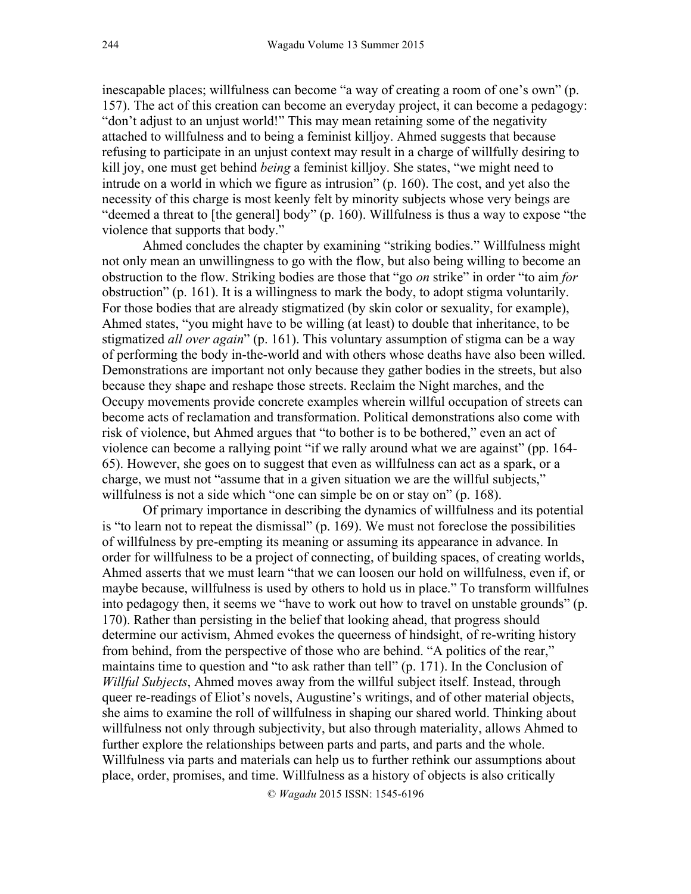inescapable places; willfulness can become "a way of creating a room of one's own" (p. 157). The act of this creation can become an everyday project, it can become a pedagogy: "don't adjust to an unjust world!" This may mean retaining some of the negativity attached to willfulness and to being a feminist killjoy. Ahmed suggests that because refusing to participate in an unjust context may result in a charge of willfully desiring to kill joy, one must get behind *being* a feminist killjoy. She states, "we might need to intrude on a world in which we figure as intrusion" (p. 160). The cost, and yet also the necessity of this charge is most keenly felt by minority subjects whose very beings are "deemed a threat to [the general] body" (p. 160). Willfulness is thus a way to expose "the violence that supports that body."

Ahmed concludes the chapter by examining "striking bodies." Willfulness might not only mean an unwillingness to go with the flow, but also being willing to become an obstruction to the flow. Striking bodies are those that "go *on* strike" in order "to aim *for*  obstruction" (p. 161). It is a willingness to mark the body, to adopt stigma voluntarily. For those bodies that are already stigmatized (by skin color or sexuality, for example), Ahmed states, "you might have to be willing (at least) to double that inheritance, to be stigmatized *all over again*" (p. 161). This voluntary assumption of stigma can be a way of performing the body in-the-world and with others whose deaths have also been willed. Demonstrations are important not only because they gather bodies in the streets, but also because they shape and reshape those streets. Reclaim the Night marches, and the Occupy movements provide concrete examples wherein willful occupation of streets can become acts of reclamation and transformation. Political demonstrations also come with risk of violence, but Ahmed argues that "to bother is to be bothered," even an act of violence can become a rallying point "if we rally around what we are against" (pp. 164- 65). However, she goes on to suggest that even as willfulness can act as a spark, or a charge, we must not "assume that in a given situation we are the willful subjects," willfulness is not a side which "one can simple be on or stay on" (p. 168).

Of primary importance in describing the dynamics of willfulness and its potential is "to learn not to repeat the dismissal" (p. 169). We must not foreclose the possibilities of willfulness by pre-empting its meaning or assuming its appearance in advance. In order for willfulness to be a project of connecting, of building spaces, of creating worlds, Ahmed asserts that we must learn "that we can loosen our hold on willfulness, even if, or maybe because, willfulness is used by others to hold us in place." To transform willfulnes into pedagogy then, it seems we "have to work out how to travel on unstable grounds" (p. 170). Rather than persisting in the belief that looking ahead, that progress should determine our activism, Ahmed evokes the queerness of hindsight, of re-writing history from behind, from the perspective of those who are behind. "A politics of the rear," maintains time to question and "to ask rather than tell" (p. 171). In the Conclusion of *Willful Subjects*, Ahmed moves away from the willful subject itself. Instead, through queer re-readings of Eliot's novels, Augustine's writings, and of other material objects, she aims to examine the roll of willfulness in shaping our shared world. Thinking about willfulness not only through subjectivity, but also through materiality, allows Ahmed to further explore the relationships between parts and parts, and parts and the whole. Willfulness via parts and materials can help us to further rethink our assumptions about place, order, promises, and time. Willfulness as a history of objects is also critically